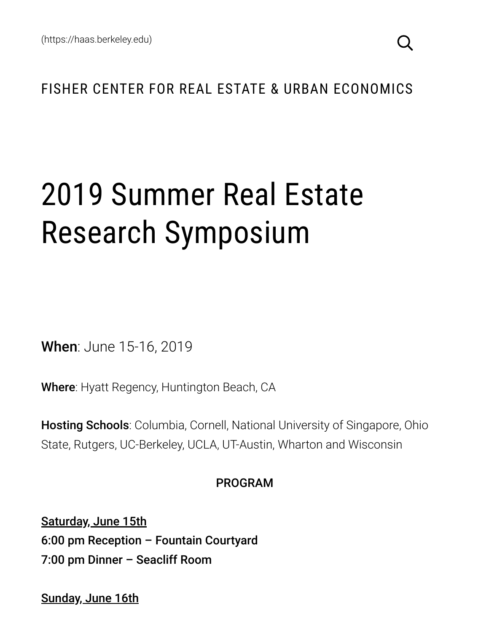## FISHER CENTER FOR REAL ESTATE & URBAN ECONOMICS

# 2019 Summer Real Estate Research Symposium

When: June 15-16, 2019

Where: Hyatt Regency, Huntington Beach, CA

**Hosting Schools:** Columbia, Cornell, National University of Singapore, Ohio State, Rutgers, UC-Berkeley, UCLA, UT-Austin, Wharton and Wisconsin

#### PROGRAM

Saturday, June 15th 6:00 pm Reception – Fountain Courtyard 7:00 pm Dinner – Seacliff Room

Sunday, June 16th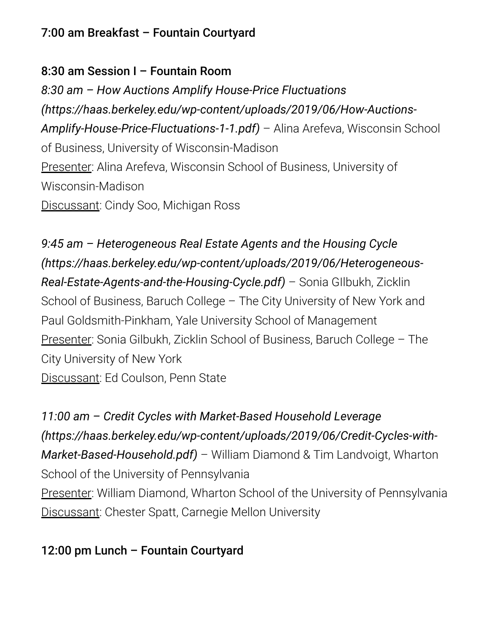#### 7:00 am Breakfast – Fountain Courtyard

#### 8:30 am Session I – Fountain Room

*8:30 am – How Auctions Amplify House-Price Fluctuations [\(https://haas.berkeley.edu/wp-content/uploads/2019/06/How-Auctions-](https://haas.berkeley.edu/wp-content/uploads/2019/06/How-Auctions-Amplify-House-Price-Fluctuations-1-1.pdf)Amplify-House-Price-Fluctuations-1-1.pdf)* – Alina Arefeva, Wisconsin School of Business, University of Wisconsin-Madison Presenter: Alina Arefeva, Wisconsin School of Business, University of Wisconsin-Madison Discussant: Cindy Soo, Michigan Ross

*9:45 am – Heterogeneous Real Estate Agents and the Housing Cycle [\(https://haas.berkeley.edu/wp-content/uploads/2019/06/Heterogeneous-](https://haas.berkeley.edu/wp-content/uploads/2019/06/Heterogeneous-Real-Estate-Agents-and-the-Housing-Cycle.pdf)Real-Estate-Agents-and-the-Housing-Cycle.pdf)* – Sonia GIlbukh, Zicklin School of Business, Baruch College – The City University of New York and Paul Goldsmith-Pinkham, Yale University School of Management Presenter: Sonia Gilbukh, Zicklin School of Business, Baruch College – The City University of New York Discussant: Ed Coulson, Penn State

*11:00 am – Credit Cycles with Market-Based Household Leverage [\(https://haas.berkeley.edu/wp-content/uploads/2019/06/Credit-Cycles-with-](https://haas.berkeley.edu/wp-content/uploads/2019/06/Credit-Cycles-with-Market-Based-Household.pdf)Market-Based-Household.pdf)* – William Diamond & Tim Landvoigt, Wharton School of the University of Pennsylvania Presenter: William Diamond, Wharton School of the University of Pennsylvania Discussant: Chester Spatt, Carnegie Mellon University

### 12:00 pm Lunch – Fountain Courtyard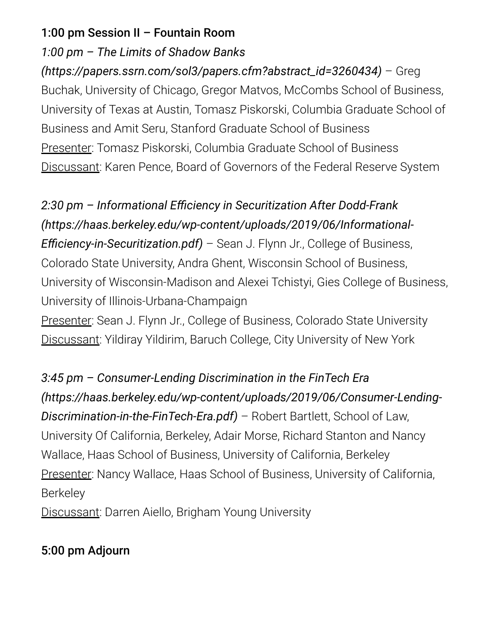#### 1:00 pm Session II – Fountain Room

#### *1:00 pm – The Limits of Shadow Banks*

*[\(https://papers.ssrn.com/sol3/papers.cfm?abstract\\_id=3260434\)](https://papers.ssrn.com/sol3/papers.cfm?abstract_id=3260434)* – Greg Buchak, University of Chicago, Gregor Matvos, McCombs School of Business, University of Texas at Austin, Tomasz Piskorski, Columbia Graduate School of Business and Amit Seru, Stanford Graduate School of Business Presenter: Tomasz Piskorski, Columbia Graduate School of Business Discussant: Karen Pence, Board of Governors of the Federal Reserve System

# *2:30 pm – Informational Eciency in Securitization After Dodd-Frank [\(https://haas.berkeley.edu/wp-content/uploads/2019/06/Informational-](https://haas.berkeley.edu/wp-content/uploads/2019/06/Informational-Efficiency-in-Securitization.pdf)Efficiency-in-Securitization.pdf*) – Sean J. Flynn Jr., College of Business, Colorado State University, Andra Ghent, Wisconsin School of Business, University of Wisconsin-Madison and Alexei Tchistyi, Gies College of Business, University of Illinois-Urbana-Champaign Presenter: Sean J. Flynn Jr., College of Business, Colorado State University Discussant: Yildiray Yildirim, Baruch College, City University of New York

*3:45 pm – Consumer-Lending Discrimination in the FinTech Era [\(https://haas.berkeley.edu/wp-content/uploads/2019/06/Consumer-Lending-](https://haas.berkeley.edu/wp-content/uploads/2019/06/Consumer-Lending-Discrimination-in-the-FinTech-Era.pdf)Discrimination-in-the-FinTech-Era.pdf)* – Robert Bartlett, School of Law, University Of California, Berkeley, Adair Morse, Richard Stanton and Nancy Wallace, Haas School of Business, University of California, Berkeley Presenter: Nancy Wallace, Haas School of Business, University of California, **Berkeley** Discussant: Darren Aiello, Brigham Young University

## 5:00 pm Adjourn